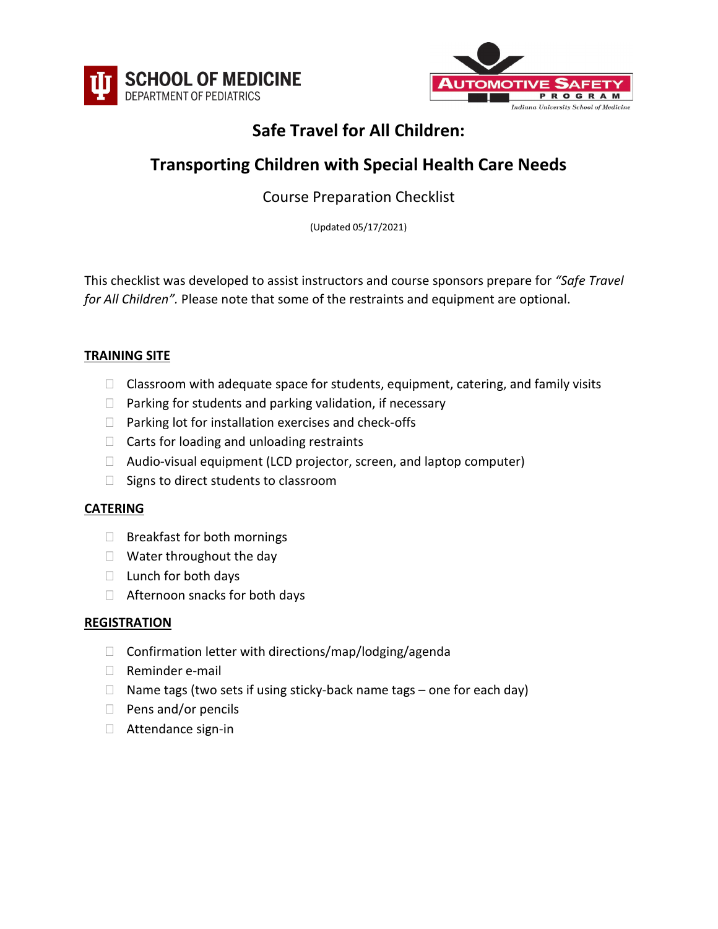



## **Safe Travel for All Children:**

## **Transporting Children with Special Health Care Needs**

## Course Preparation Checklist

(Updated 05/17/2021)

This checklist was developed to assist instructors and course sponsors prepare for *"Safe Travel for All Children".* Please note that some of the restraints and equipment are optional.

## **TRAINING SITE**

- $\Box$  Classroom with adequate space for students, equipment, catering, and family visits
- $\Box$  Parking for students and parking validation, if necessary
- $\Box$  Parking lot for installation exercises and check-offs
- $\Box$  Carts for loading and unloading restraints
- $\Box$  Audio-visual equipment (LCD projector, screen, and laptop computer)
- $\Box$  Signs to direct students to classroom

## **CATERING**

- $\Box$  Breakfast for both mornings
- $\Box$  Water throughout the day
- $\Box$  Lunch for both days
- $\Box$  Afternoon snacks for both days

## **REGISTRATION**

- $\Box$  Confirmation letter with directions/map/lodging/agenda
- □ Reminder e-mail
- $\Box$  Name tags (two sets if using sticky-back name tags one for each day)
- $\Box$  Pens and/or pencils
- Attendance sign-in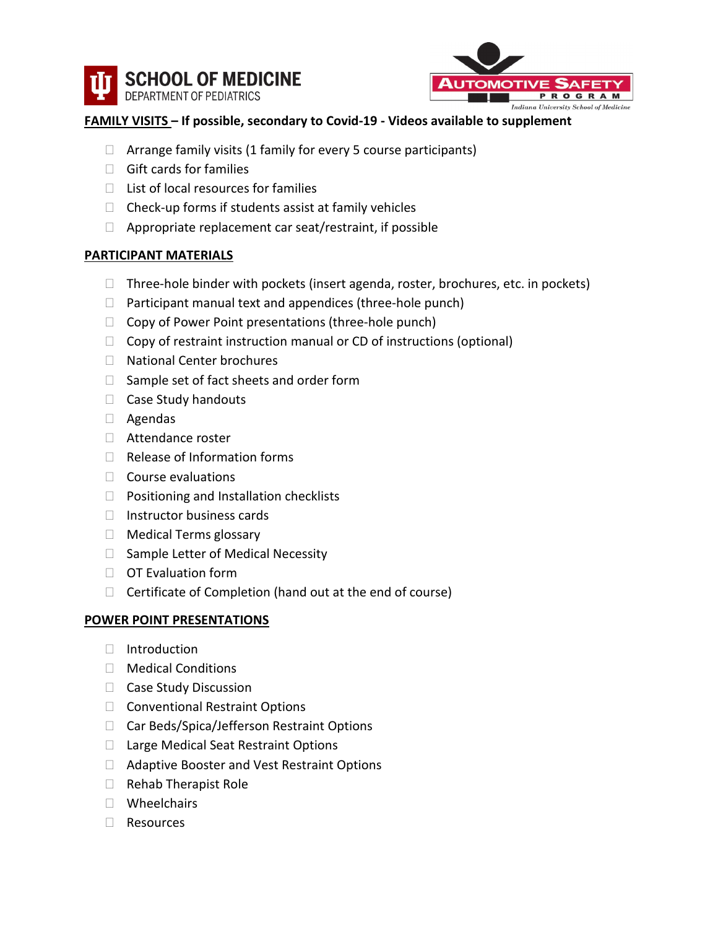



### **FAMILY VISITS – If possible, secondary to Covid-19 - Videos available to supplement**

- $\Box$  Arrange family visits (1 family for every 5 course participants)
- $\Box$  Gift cards for families
- $\Box$  List of local resources for families
- $\Box$  Check-up forms if students assist at family vehicles
- $\Box$  Appropriate replacement car seat/restraint, if possible

#### **PARTICIPANT MATERIALS**

- $\Box$  Three-hole binder with pockets (insert agenda, roster, brochures, etc. in pockets)
- $\Box$  Participant manual text and appendices (three-hole punch)
- $\Box$  Copy of Power Point presentations (three-hole punch)
- $\Box$  Copy of restraint instruction manual or CD of instructions (optional)
- □ National Center brochures
- $\Box$  Sample set of fact sheets and order form
- $\Box$  Case Study handouts
- Agendas
- □ Attendance roster
- $\Box$  Release of Information forms
- $\Box$  Course evaluations
- $\Box$  Positioning and Installation checklists
- $\Box$  Instructor business cards
- □ Medical Terms glossary
- $\Box$  Sample Letter of Medical Necessity
- □ OT Evaluation form
- $\Box$  Certificate of Completion (hand out at the end of course)

#### **POWER POINT PRESENTATIONS**

- $\Box$  Introduction
- □ Medical Conditions
- □ Case Study Discussion
- □ Conventional Restraint Options
- □ Car Beds/Spica/Jefferson Restraint Options
- □ Large Medical Seat Restraint Options
- □ Adaptive Booster and Vest Restraint Options
- Rehab Therapist Role
- Wheelchairs
- Resources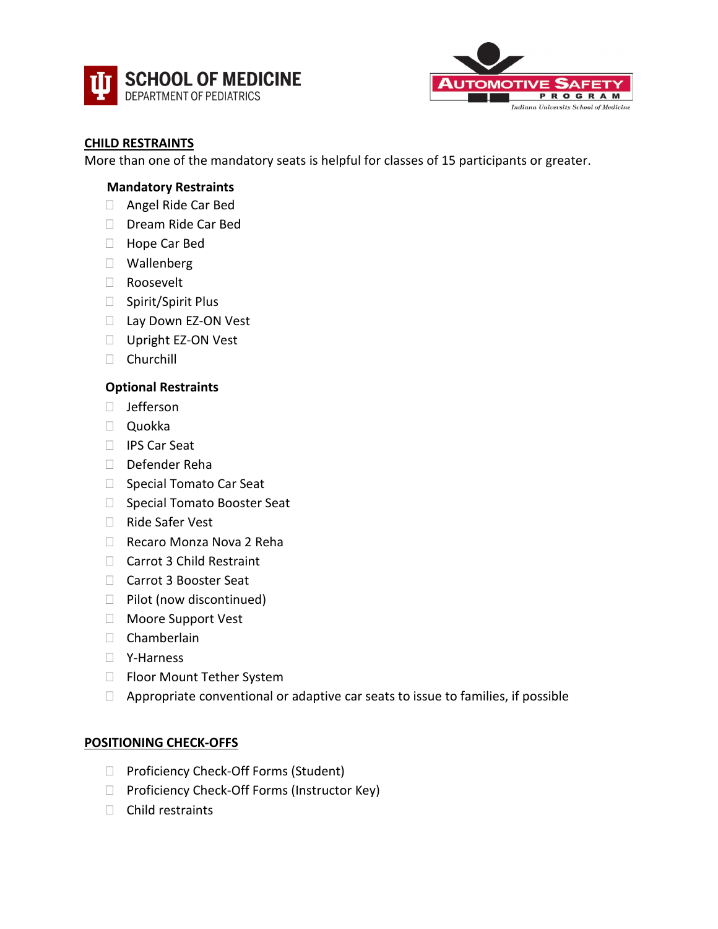



#### **CHILD RESTRAINTS**

More than one of the mandatory seats is helpful for classes of 15 participants or greater.

#### **Mandatory Restraints**

- Angel Ride Car Bed
- Dream Ride Car Bed
- □ Hope Car Bed
- Wallenberg
- □ Roosevelt
- $\Box$  Spirit/Spirit Plus
- □ Lay Down EZ-ON Vest
- □ Upright EZ-ON Vest
- Churchill

#### **Optional Restraints**

- Jefferson
- Quokka
- IPS Car Seat
- Defender Reha
- □ Special Tomato Car Seat
- □ Special Tomato Booster Seat
- □ Ride Safer Vest
- Recaro Monza Nova 2 Reha
- □ Carrot 3 Child Restraint
- □ Carrot 3 Booster Seat
- $\Box$  Pilot (now discontinued)
- □ Moore Support Vest
- Chamberlain
- Y-Harness
- □ Floor Mount Tether System
- $\Box$  Appropriate conventional or adaptive car seats to issue to families, if possible

#### **POSITIONING CHECK-OFFS**

- □ Proficiency Check-Off Forms (Student)
- □ Proficiency Check-Off Forms (Instructor Key)
- $\Box$  Child restraints